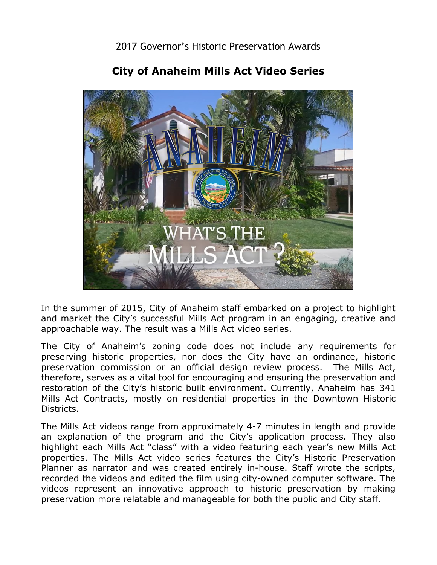

## **City of Anaheim Mills Act Video Series**

 and market the City's successful Mills Act program in an engaging, creative and In the summer of 2015, City of Anaheim staff embarked on a project to highlight approachable way. The result was a Mills Act video series.

 The City of Anaheim's zoning code does not include any requirements for preservation commission or an official design review process. The Mills Act, restoration of the City's historic built environment. Currently, Anaheim has 341 preserving historic properties, nor does the City have an ordinance, historic therefore, serves as a vital tool for encouraging and ensuring the preservation and Mills Act Contracts, mostly on residential properties in the Downtown Historic Districts.

 an explanation of the program and the City's application process. They also The Mills Act videos range from approximately 4-7 minutes in length and provide highlight each Mills Act "class" with a video featuring each year's new Mills Act properties. The Mills Act video series features the City's Historic Preservation Planner as narrator and was created entirely in-house. Staff wrote the scripts, recorded the videos and edited the film using city-owned computer software. The videos represent an innovative approach to historic preservation by making preservation more relatable and manageable for both the public and City staff.